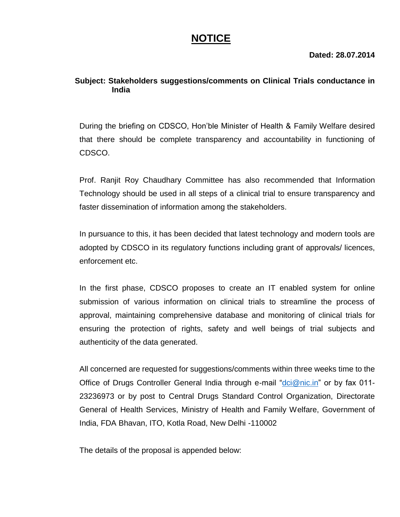## **NOTICE**

**Dated: 28.07.2014**

## **Subject: Stakeholders suggestions/comments on Clinical Trials conductance in India**

During the briefing on CDSCO, Hon'ble Minister of Health & Family Welfare desired that there should be complete transparency and accountability in functioning of CDSCO.

Prof. Ranjit Roy Chaudhary Committee has also recommended that Information Technology should be used in all steps of a clinical trial to ensure transparency and faster dissemination of information among the stakeholders.

In pursuance to this, it has been decided that latest technology and modern tools are adopted by CDSCO in its regulatory functions including grant of approvals/ licences, enforcement etc.

In the first phase, CDSCO proposes to create an IT enabled system for online submission of various information on clinical trials to streamline the process of approval, maintaining comprehensive database and monitoring of clinical trials for ensuring the protection of rights, safety and well beings of trial subjects and authenticity of the data generated.

All concerned are requested for suggestions/comments within three weeks time to the Office of Drugs Controller General India through e-mail ["dci@nic.in"](mailto:dci@nic.in) or by fax 011-23236973 or by post to Central Drugs Standard Control Organization, Directorate General of Health Services, Ministry of Health and Family Welfare, Government of India, FDA Bhavan, ITO, Kotla Road, New Delhi -110002

The details of the proposal is appended below: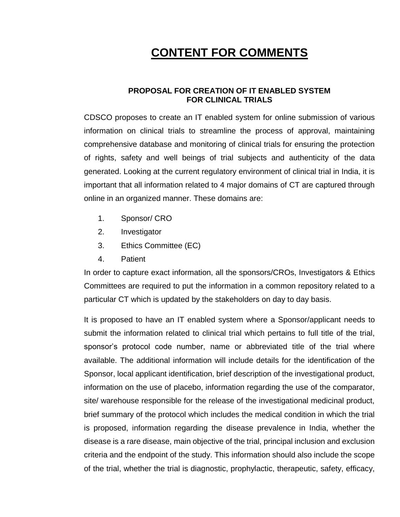# **CONTENT FOR COMMENTS**

## **PROPOSAL FOR CREATION OF IT ENABLED SYSTEM FOR CLINICAL TRIALS**

CDSCO proposes to create an IT enabled system for online submission of various information on clinical trials to streamline the process of approval, maintaining comprehensive database and monitoring of clinical trials for ensuring the protection of rights, safety and well beings of trial subjects and authenticity of the data generated. Looking at the current regulatory environment of clinical trial in India, it is important that all information related to 4 major domains of CT are captured through online in an organized manner. These domains are:

- 1. Sponsor/ CRO
- 2. Investigator
- 3. Ethics Committee (EC)
- 4. Patient

In order to capture exact information, all the sponsors/CROs, Investigators & Ethics Committees are required to put the information in a common repository related to a particular CT which is updated by the stakeholders on day to day basis.

It is proposed to have an IT enabled system where a Sponsor/applicant needs to submit the information related to clinical trial which pertains to full title of the trial, sponsor's protocol code number, name or abbreviated title of the trial where available. The additional information will include details for the identification of the Sponsor, local applicant identification, brief description of the investigational product, information on the use of placebo, information regarding the use of the comparator, site/ warehouse responsible for the release of the investigational medicinal product, brief summary of the protocol which includes the medical condition in which the trial is proposed, information regarding the disease prevalence in India, whether the disease is a rare disease, main objective of the trial, principal inclusion and exclusion criteria and the endpoint of the study. This information should also include the scope of the trial, whether the trial is diagnostic, prophylactic, therapeutic, safety, efficacy,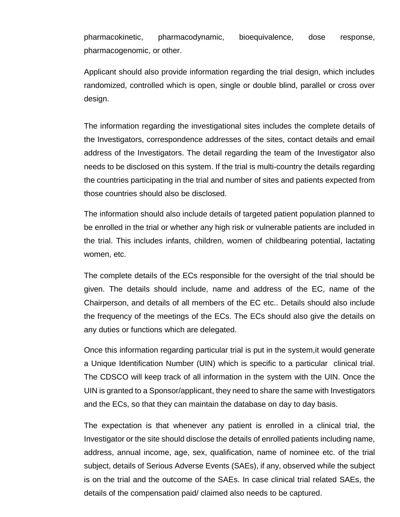pharmacokinetic, pharmacodynamic, bioequivalence, dose response, pharmacogenomic, or other.

Applicant should also provide information regarding the trial design, which includes randomized, controlled which is open, single or double blind, parallel or cross over design.

The information regarding the investigational sites includes the complete details of the Investigators, correspondence addresses of the sites, contact details and email address of the Investigators. The detail regarding the team of the Investigator also needs to be disclosed on this system. If the trial is multi-country the details regarding the countries participating in the trial and number of sites and patients expected from those countries should also be disclosed.

The information should also include details of targeted patient population planned to be enrolled in the trial or whether any high risk or vulnerable patients are included in the trial. This includes infants, children, women of childbearing potential, lactating women, etc.

The complete details of the ECs responsible for the oversight of the trial should be given. The details should include, name and address of the EC, name of the Chairperson, and details of all members of the EC etc.. Details should also include the frequency of the meetings of the ECs. The ECs should also give the details on any duties or functions which are delegated.

Once this information regarding particular trial is put in the system,it would generate a Unique Identification Number (UIN) which is specific to a particular clinical trial. The CDSCO will keep track of all information in the system with the UIN. Once the UIN is granted to a Sponsor/applicant, they need to share the same with Investigators and the ECs, so that they can maintain the database on day to day basis.

The expectation is that whenever any patient is enrolled in a clinical trial, the Investigator or the site should disclose the details of enrolled patients including name, address, annual income, age, sex, qualification, name of nominee etc. of the trial subject, details of Serious Adverse Events (SAEs), if any, observed while the subject is on the trial and the outcome of the SAEs. In case clinical trial related SAEs, the details of the compensation paid/ claimed also needs to be captured.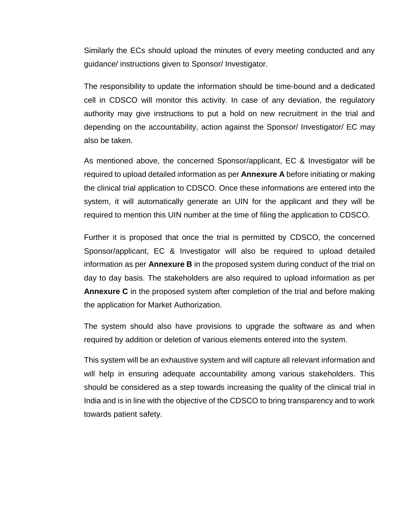Similarly the ECs should upload the minutes of every meeting conducted and any guidance/ instructions given to Sponsor/ Investigator.

The responsibility to update the information should be time-bound and a dedicated cell in CDSCO will monitor this activity. In case of any deviation, the regulatory authority may give instructions to put a hold on new recruitment in the trial and depending on the accountability, action against the Sponsor/ Investigator/ EC may also be taken.

As mentioned above, the concerned Sponsor/applicant, EC & Investigator will be required to upload detailed information as per **Annexure A** before initiating or making the clinical trial application to CDSCO. Once these informations are entered into the system, it will automatically generate an UIN for the applicant and they will be required to mention this UIN number at the time of filing the application to CDSCO.

Further it is proposed that once the trial is permitted by CDSCO, the concerned Sponsor/applicant, EC & Investigator will also be required to upload detailed information as per **Annexure B** in the proposed system during conduct of the trial on day to day basis. The stakeholders are also required to upload information as per **Annexure C** in the proposed system after completion of the trial and before making the application for Market Authorization.

The system should also have provisions to upgrade the software as and when required by addition or deletion of various elements entered into the system.

This system will be an exhaustive system and will capture all relevant information and will help in ensuring adequate accountability among various stakeholders. This should be considered as a step towards increasing the quality of the clinical trial in India and is in line with the objective of the CDSCO to bring transparency and to work towards patient safety.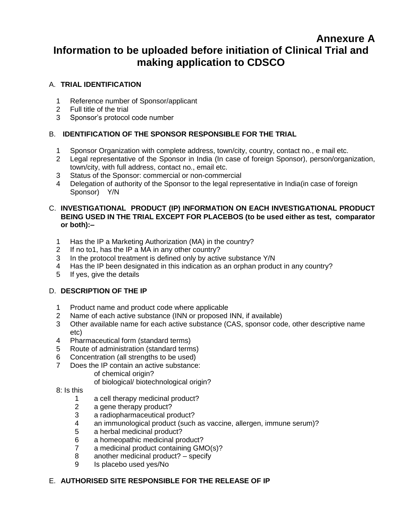## **Annexure A Information to be uploaded before initiation of Clinical Trial and making application to CDSCO**

## A. **TRIAL IDENTIFICATION**

- 1 Reference number of Sponsor/applicant
- 2 Full title of the trial
- 3 Sponsor's protocol code number

### B. **IDENTIFICATION OF THE SPONSOR RESPONSIBLE FOR THE TRIAL**

- 1 Sponsor Organization with complete address, town/city, country, contact no., e mail etc.
- 2 Legal representative of the Sponsor in India (In case of foreign Sponsor), person/organization, town/city, with full address, contact no., email etc.
- 3 Status of the Sponsor: commercial or non-commercial
- 4 Delegation of authority of the Sponsor to the legal representative in India(in case of foreign Sponsor) Y/N

#### C. **INVESTIGATIONAL PRODUCT (IP) INFORMATION ON EACH INVESTIGATIONAL PRODUCT BEING USED IN THE TRIAL EXCEPT FOR PLACEBOS (to be used either as test, comparator or both):–**

- 1 Has the IP a Marketing Authorization (MA) in the country?
- 2 If no to1, has the IP a MA in any other country?
- 3 In the protocol treatment is defined only by active substance Y/N
- 4 Has the IP been designated in this indication as an orphan product in any country?
- 5 If yes, give the details

## D. **DESCRIPTION OF THE IP**

- 1 Product name and product code where applicable
- 2 Name of each active substance (INN or proposed INN, if available)
- 3 Other available name for each active substance (CAS, sponsor code, other descriptive name etc)
- 4 Pharmaceutical form (standard terms)
- 5 Route of administration (standard terms)
- 6 Concentration (all strengths to be used)
- 7 Does the IP contain an active substance:
	- of chemical origin?
	- of biological/ biotechnological origin?
- 8: Is this
	- 1 a cell therapy medicinal product?
	- 2 a gene therapy product?
	- 3 a radiopharmaceutical product?
	- 4 an immunological product (such as vaccine, allergen, immune serum)?
	- 5 a herbal medicinal product?
	- 6 a homeopathic medicinal product?
	- 7 a medicinal product containing GMO(s)?
	- 8 another medicinal product? specify
	- 9 Is placebo used yes/No

## E. **AUTHORISED SITE RESPONSIBLE FOR THE RELEASE OF IP**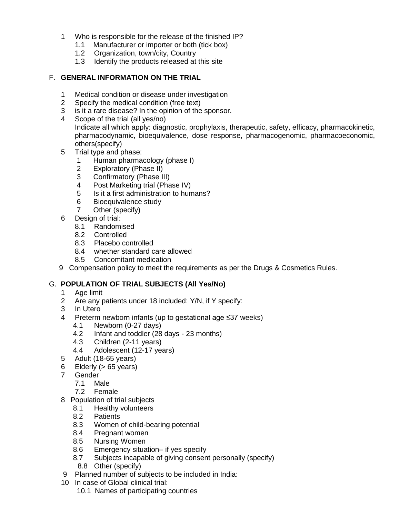- 1 Who is responsible for the release of the finished IP?
	- 1.1 Manufacturer or importer or both (tick box)
	- 1.2 Organization, town/city, Country
	- 1.3 Identify the products released at this site

### F. **GENERAL INFORMATION ON THE TRIAL**

- 1 Medical condition or disease under investigation
- 2 Specify the medical condition (free text)
- 3 is it a rare disease? In the opinion of the sponsor.
- 4 Scope of the trial (all yes/no) Indicate all which apply: diagnostic, prophylaxis, therapeutic, safety, efficacy, pharmacokinetic, pharmacodynamic, bioequivalence, dose response, pharmacogenomic, pharmacoeconomic, others(specify)
- 5 Trial type and phase:
	- 1 Human pharmacology (phase I)
	- 2 Exploratory (Phase II)
	- 3 Confirmatory (Phase III)
	- 4 Post Marketing trial (Phase IV)
	- 5 Is it a first administration to humans?
	- 6 Bioequivalence study
	- 7 Other (specify)
- 6 Design of trial:
	- 8.1 Randomised
	- 8.2 Controlled
	- 8.3 Placebo controlled
	- 8.4 whether standard care allowed
	- 8.5 Concomitant medication
- 9 Compensation policy to meet the requirements as per the Drugs & Cosmetics Rules.

## G. **POPULATION OF TRIAL SUBJECTS (All Yes/No)**

- 1 Age limit
- 2 Are any patients under 18 included: Y/N, if Y specify:
- 3 In Utero
- 4 Preterm newborn infants (up to gestational age ≤37 weeks)
	- 4.1 Newborn (0-27 days)
	- 4.2 Infant and toddler (28 days 23 months)
	- 4.3 Children (2-11 years)
	- 4.4 Adolescent (12-17 years)
- 5 Adult (18-65 years)
- 6 Elderly  $(> 65 \text{ years})$
- 7 Gender
	- 7.1 Male
	- 7.2 Female
- 8 Population of trial subjects
	- 8.1 Healthy volunteers
	- 8.2 Patients
	- 8.3 Women of child-bearing potential
	- 8.4 Pregnant women
	- 8.5 Nursing Women
	- 8.6 Emergency situation– if yes specify
	- 8.7 Subjects incapable of giving consent personally (specify)
	- 8.8 Other (specify)
- 9 Planned number of subjects to be included in India:
- 10 In case of Global clinical trial:
	- 10.1 Names of participating countries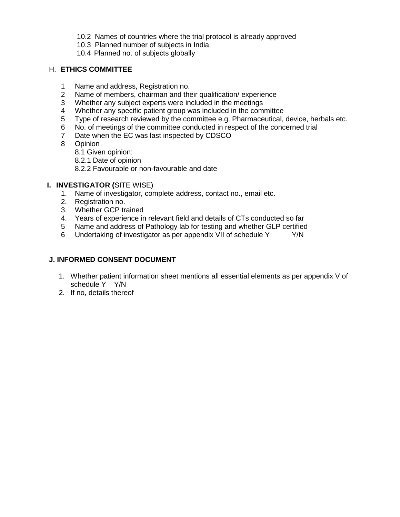- 10.2 Names of countries where the trial protocol is already approved
- 10.3 Planned number of subjects in India
- 10.4 Planned no. of subjects globally

#### H. **ETHICS COMMITTEE**

- 1 Name and address, Registration no.
- 2 Name of members, chairman and their qualification/ experience
- 3 Whether any subject experts were included in the meetings
- 4 Whether any specific patient group was included in the committee
- 5 Type of research reviewed by the committee e.g. Pharmaceutical, device, herbals etc.
- 6 No. of meetings of the committee conducted in respect of the concerned trial
- 7 Date when the EC was last inspected by CDSCO
- 8 Opinion
	- 8.1 Given opinion:
	- 8.2.1 Date of opinion
	- 8.2.2 Favourable or non-favourable and date

#### **I. INVESTIGATOR (**SITE WISE)

- 1. Name of investigator, complete address, contact no., email etc.
- 2. Registration no.
- 3. Whether GCP trained
- 4. Years of experience in relevant field and details of CTs conducted so far
- 5 Name and address of Pathology lab for testing and whether GLP certified
- 6 Undertaking of investigator as per appendix VII of schedule Y Y/N

#### **J. INFORMED CONSENT DOCUMENT**

- 1. Whether patient information sheet mentions all essential elements as per appendix V of schedule Y Y/N
- 2. If no, details thereof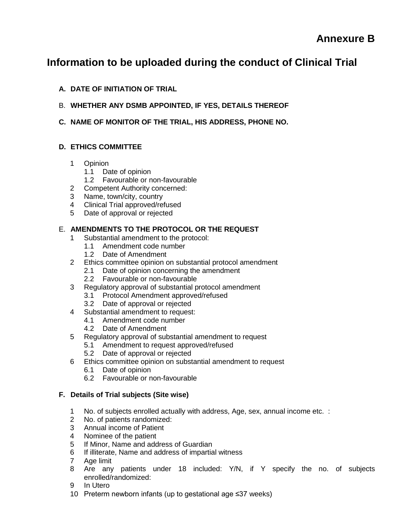## **Information to be uploaded during the conduct of Clinical Trial**

- **A. DATE OF INITIATION OF TRIAL**
- B. **WHETHER ANY DSMB APPOINTED, IF YES, DETAILS THEREOF**
- **C. NAME OF MONITOR OF THE TRIAL, HIS ADDRESS, PHONE NO.**

## **D. ETHICS COMMITTEE**

- 1 Opinion
	- 1.1 Date of opinion
	- 1.2 Favourable or non-favourable
- 2 Competent Authority concerned:
- 3 Name, town/city, country
- 4 Clinical Trial approved/refused
- 5 Date of approval or rejected

## E. **AMENDMENTS TO THE PROTOCOL OR THE REQUEST**

- 1 Substantial amendment to the protocol:
	- 1.1 Amendment code number
	- 1.2 Date of Amendment
- 2 Ethics committee opinion on substantial protocol amendment
	- 2.1 Date of opinion concerning the amendment
	- 2.2 Favourable or non-favourable
- 3 Regulatory approval of substantial protocol amendment
	- 3.1 Protocol Amendment approved/refused
	- 3.2 Date of approval or rejected
- 4 Substantial amendment to request:
	- 4.1 Amendment code number
	- 4.2 Date of Amendment
- 5 Regulatory approval of substantial amendment to request
	- 5.1 Amendment to request approved/refused
	- 5.2 Date of approval or rejected
- 6 Ethics committee opinion on substantial amendment to request
	- 6.1 Date of opinion
	- 6.2 Favourable or non-favourable

## **F. Details of Trial subjects (Site wise)**

- 1 No. of subjects enrolled actually with address, Age, sex, annual income etc. :
- 2 No. of patients randomized:
- 3 Annual income of Patient
- 4 Nominee of the patient
- 5 If Minor, Name and address of Guardian
- 6 If illiterate, Name and address of impartial witness
- 7 Age limit
- 8 Are any patients under 18 included: Y/N, if Y specify the no. of subjects enrolled/randomized:
- 9 In Utero
- 10 Preterm newborn infants (up to gestational age ≤37 weeks)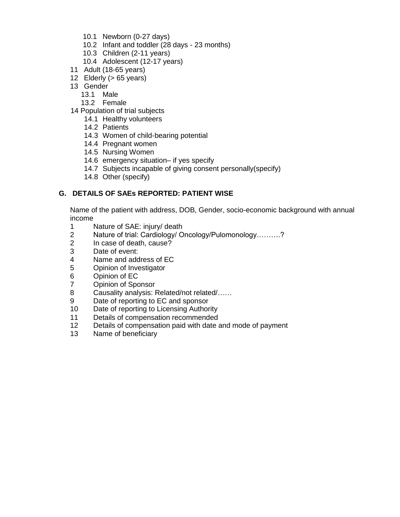- 10.1 Newborn (0-27 days)
- 10.2 Infant and toddler (28 days 23 months)
- 10.3 Children (2-11 years)
- 10.4 Adolescent (12-17 years)
- 11 Adult (18-65 years)
- 12 Elderly (> 65 years)
- 13 Gender
	- 13.1 Male
	- 13.2 Female
- 14 Population of trial subjects
	- 14.1 Healthy volunteers
	- 14.2 Patients
	- 14.3 Women of child-bearing potential
	- 14.4 Pregnant women
	- 14.5 Nursing Women
	- 14.6 emergency situation– if yes specify
	- 14.7 Subjects incapable of giving consent personally(specify)
	- 14.8 Other (specify)

#### **G. DETAILS OF SAEs REPORTED: PATIENT WISE**

Name of the patient with address, DOB, Gender, socio-economic background with annual income

- 1 Nature of SAE: injury/ death
- 2 Nature of trial: Cardiology/ Oncology/Pulomonology……….?
- 2 In case of death, cause?
- 3 Date of event:<br>4 Name and add
- Name and address of EC
- 5 Opinion of Investigator
- 6 Opinion of EC
- 7 Opinion of Sponsor
- 8 Causality analysis: Related/not related/……
- 9 Date of reporting to EC and sponsor
- 10 Date of reporting to Licensing Authority
- 11 Details of compensation recommended
- 12 Details of compensation paid with date and mode of payment
- 13 Name of beneficiary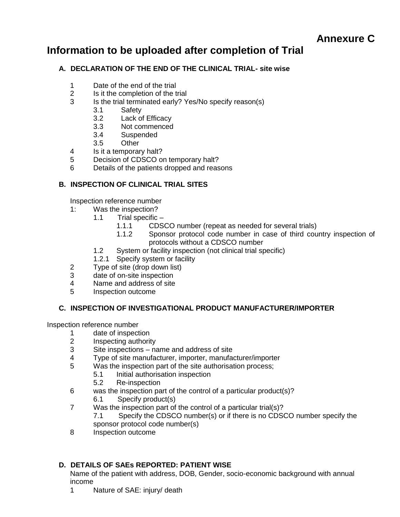## **Information to be uploaded after completion of Trial**

## **A. DECLARATION OF THE END OF THE CLINICAL TRIAL- site wise**

- 1 Date of the end of the trial<br>2 Is it the completion of the t
- Is it the completion of the trial
- 3 Is the trial terminated early? Yes/No specify reason(s)
	- 3.1 Safety
	- 3.2 Lack of Efficacy
	- 3.3 Not commenced
	- 3.4 Suspended
	- 3.5 Other
- 4 Is it a temporary halt?
- 5 Decision of CDSCO on temporary halt?
- 6 Details of the patients dropped and reasons

## **B. INSPECTION OF CLINICAL TRIAL SITES**

Inspection reference number

- 1: Was the inspection?
	- 1.1 Trial specific
		- 1.1.1 CDSCO number (repeat as needed for several trials)
		- 1.1.2 Sponsor protocol code number in case of third country inspection of protocols without a CDSCO number
	- 1.2 System or facility inspection (not clinical trial specific)
	- 1.2.1 Specify system or facility
- 2 Type of site (drop down list)
- 3 date of on-site inspection
- 4 Name and address of site
- 5 Inspection outcome

## **C. INSPECTION OF INVESTIGATIONAL PRODUCT MANUFACTURER/IMPORTER**

Inspection reference number

- 1 date of inspection<br>2 lnspecting authorit
- 2 Inspecting authority<br>3 Site inspections na
- Site inspections name and address of site
- 4 Type of site manufacturer, importer, manufacturer/importer
- 5 Was the inspection part of the site authorisation process;
	- 5.1 Initial authorisation inspection
		- 5.2 Re-inspection
- 6 was the inspection part of the control of a particular product(s)? 6.1 Specify product(s)
- 7 Was the inspection part of the control of a particular trial(s)?
	- 7.1 Specify the CDSCO number(s) or if there is no CDSCO number specify the sponsor protocol code number(s)
- 8 Inspection outcome

## **D. DETAILS OF SAEs REPORTED: PATIENT WISE**

Name of the patient with address, DOB, Gender, socio-economic background with annual income

1 Nature of SAE: injury/ death